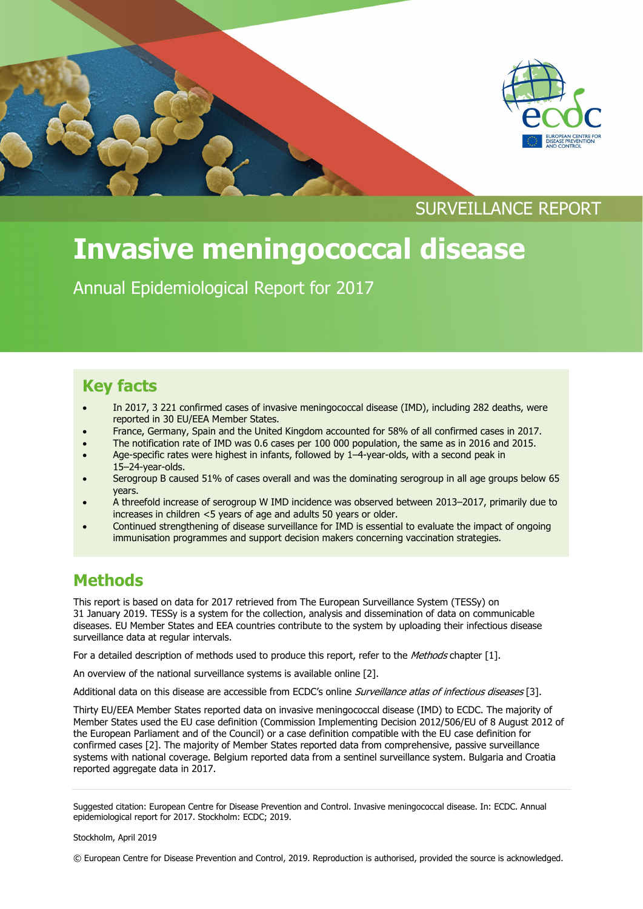



# **Invasive meningococcal disease**

Annual Epidemiological Report for 2017

## **Key facts**

- In 2017, 3 221 confirmed cases of invasive meningococcal disease (IMD), including 282 deaths, were reported in 30 EU/EEA Member States.
- France, Germany, Spain and the United Kingdom accounted for 58% of all confirmed cases in 2017.
- The notification rate of IMD was 0.6 cases per 100 000 population, the same as in 2016 and 2015.
- Age-specific rates were highest in infants, followed by 1–4-year-olds, with a second peak in 15–24-year-olds.
- Serogroup B caused 51% of cases overall and was the dominating serogroup in all age groups below 65 years.
- A threefold increase of serogroup W IMD incidence was observed between 2013–2017, primarily due to increases in children <5 years of age and adults 50 years or older.
- Continued strengthening of disease surveillance for IMD is essential to evaluate the impact of ongoing immunisation programmes and support decision makers concerning vaccination strategies.

### **Methods**

This report is based on data for 2017 retrieved from The European Surveillance System (TESSy) on 31 January 2019. TESSy is a system for the collection, analysis and dissemination of data on communicable diseases. EU Member States and EEA countries contribute to the system by uploading their infectious disease surveillance data at regular intervals.

For a detailed description of methods used to produce this report, refer to the Methods chapter [1].

An overview of the national surveillance systems is available online [2].

Additional data on this disease are accessible from ECDC's online Surveillance atlas of infectious diseases [3].

Thirty EU/EEA Member States reported data on invasive meningococcal disease (IMD) to ECDC. The majority of Member States used the EU case definition (Commission Implementing Decision 2012/506/EU of 8 August 2012 of the European Parliament and of the Council) or a case definition compatible with the EU case definition for confirmed cases [2]. The majority of Member States reported data from comprehensive, passive surveillance systems with national coverage. Belgium reported data from a sentinel surveillance system. Bulgaria and Croatia reported aggregate data in 2017.

© European Centre for Disease Prevention and Control, 2019. Reproduction is authorised, provided the source is acknowledged.

Suggested citation: European Centre for Disease Prevention and Control. Invasive meningococcal disease. In: ECDC. Annual epidemiological report for 2017. Stockholm: ECDC; 2019.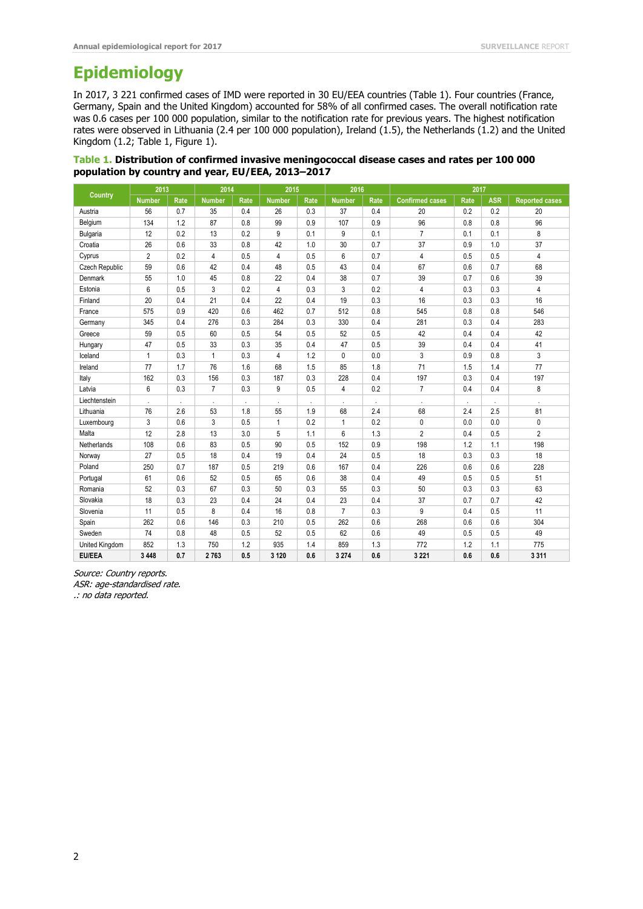# **Epidemiology**

In 2017, 3 221 confirmed cases of IMD were reported in 30 EU/EEA countries (Table 1). Four countries (France, Germany, Spain and the United Kingdom) accounted for 58% of all confirmed cases. The overall notification rate was 0.6 cases per 100 000 population, similar to the notification rate for previous years. The highest notification rates were observed in Lithuania (2.4 per 100 000 population), Ireland (1.5), the Netherlands (1.2) and the United Kingdom (1.2; Table 1, Figure 1).

| Table 1. Distribution of confirmed invasive meningococcal disease cases and rates per 100 000 |  |
|-----------------------------------------------------------------------------------------------|--|
| population by country and year, EU/EEA, 2013-2017                                             |  |

| Country         | 2013           |      | 2014           |                      | 2015           |      | 2016           |      | 2017                   |         |            |                       |
|-----------------|----------------|------|----------------|----------------------|----------------|------|----------------|------|------------------------|---------|------------|-----------------------|
|                 | <b>Number</b>  | Rate | <b>Number</b>  | Rate                 | <b>Number</b>  | Rate | <b>Number</b>  | Rate | <b>Confirmed cases</b> | Rate    | <b>ASR</b> | <b>Reported cases</b> |
| Austria         | 56             | 0.7  | 35             | 0.4                  | 26             | 0.3  | 37             | 0.4  | 20                     | 0.2     | 0.2        | 20                    |
| Belgium         | 134            | 1.2  | 87             | 0.8                  | 99             | 0.9  | 107            | 0.9  | 96                     | 0.8     | 0.8        | 96                    |
| <b>Bulgaria</b> | 12             | 0.2  | 13             | 0.2                  | 9              | 0.1  | 9              | 0.1  | $\overline{7}$         | 0.1     | 0.1        | 8                     |
| Croatia         | 26             | 0.6  | 33             | 0.8                  | 42             | 1.0  | 30             | 0.7  | 37                     | 0.9     | 1.0        | 37                    |
| Cyprus          | $\overline{2}$ | 0.2  | $\overline{4}$ | 0.5                  | 4              | 0.5  | 6              | 0.7  | $\overline{4}$         | 0.5     | 0.5        | 4                     |
| Czech Republic  | 59             | 0.6  | 42             | 0.4                  | 48             | 0.5  | 43             | 0.4  | 67                     | 0.6     | 0.7        | 68                    |
| Denmark         | 55             | 1.0  | 45             | 0.8                  | 22             | 0.4  | 38             | 0.7  | 39                     | 0.7     | 0.6        | 39                    |
| Estonia         | 6              | 0.5  | 3              | 0.2                  | 4              | 0.3  | 3              | 0.2  | $\overline{4}$         | 0.3     | 0.3        | 4                     |
| Finland         | 20             | 0.4  | 21             | 0.4                  | 22             | 0.4  | 19             | 0.3  | 16                     | 0.3     | 0.3        | 16                    |
| France          | 575            | 0.9  | 420            | 0.6                  | 462            | 0.7  | 512            | 0.8  | 545                    | 0.8     | 0.8        | 546                   |
| Germany         | 345            | 0.4  | 276            | 0.3                  | 284            | 0.3  | 330            | 0.4  | 281                    | 0.3     | 0.4        | 283                   |
| Greece          | 59             | 0.5  | 60             | 0.5                  | 54             | 0.5  | 52             | 0.5  | 42                     | 0.4     | 0.4        | 42                    |
| Hungary         | 47             | 0.5  | 33             | 0.3                  | 35             | 0.4  | 47             | 0.5  | 39                     | 0.4     | 0.4        | 41                    |
| Iceland         | $\mathbf{1}$   | 0.3  | $\mathbf{1}$   | 0.3                  | 4              | 1.2  | $\mathbf 0$    | 0.0  | $\mathbf{3}$           | 0.9     | 0.8        | 3                     |
| Ireland         | 77             | 1.7  | 76             | 1.6                  | 68             | 1.5  | 85             | 1.8  | 71                     | 1.5     | 1.4        | 77                    |
| Italy           | 162            | 0.3  | 156            | 0.3                  | 187            | 0.3  | 228            | 0.4  | 197                    | 0.3     | 0.4        | 197                   |
| Latvia          | 6              | 0.3  | $\overline{7}$ | 0.3                  | 9              | 0.5  | 4              | 0.2  | $\overline{7}$         | 0.4     | 0.4        | 8                     |
| Liechtenstein   | $\mathbf{r}$   |      | $\epsilon$     | $\ddot{\phantom{a}}$ | $\blacksquare$ |      | ×              |      | $\epsilon$             | $\cdot$ |            | $\mathbf{r}$          |
| Lithuania       | 76             | 2.6  | 53             | 1.8                  | 55             | 1.9  | 68             | 2.4  | 68                     | 2.4     | 2.5        | 81                    |
| Luxembourg      | 3              | 0.6  | 3              | 0.5                  | $\mathbf{1}$   | 0.2  | 1              | 0.2  | 0                      | 0.0     | 0.0        | 0                     |
| Malta           | 12             | 2.8  | 13             | 3.0                  | 5              | 1.1  | 6              | 1.3  | $\overline{2}$         | 0.4     | 0.5        | $\overline{2}$        |
| Netherlands     | 108            | 0.6  | 83             | 0.5                  | 90             | 0.5  | 152            | 0.9  | 198                    | 1.2     | 1.1        | 198                   |
| Norway          | 27             | 0.5  | 18             | 0.4                  | 19             | 0.4  | 24             | 0.5  | 18                     | 0.3     | 0.3        | 18                    |
| Poland          | 250            | 0.7  | 187            | 0.5                  | 219            | 0.6  | 167            | 0.4  | 226                    | 0.6     | 0.6        | 228                   |
| Portugal        | 61             | 0.6  | 52             | 0.5                  | 65             | 0.6  | 38             | 0.4  | 49                     | 0.5     | 0.5        | 51                    |
| Romania         | 52             | 0.3  | 67             | 0.3                  | 50             | 0.3  | 55             | 0.3  | 50                     | 0.3     | 0.3        | 63                    |
| Slovakia        | 18             | 0.3  | 23             | 0.4                  | 24             | 0.4  | 23             | 0.4  | 37                     | 0.7     | 0.7        | 42                    |
| Slovenia        | 11             | 0.5  | 8              | 0.4                  | 16             | 0.8  | $\overline{7}$ | 0.3  | 9                      | 0.4     | 0.5        | 11                    |
| Spain           | 262            | 0.6  | 146            | 0.3                  | 210            | 0.5  | 262            | 0.6  | 268                    | 0.6     | 0.6        | 304                   |
| Sweden          | 74             | 0.8  | 48             | 0.5                  | 52             | 0.5  | 62             | 0.6  | 49                     | 0.5     | 0.5        | 49                    |
| United Kingdom  | 852            | 1.3  | 750            | 1.2                  | 935            | 1.4  | 859            | 1.3  | 772                    | 1.2     | 1.1        | 775                   |
| <b>EU/EEA</b>   | 3 4 4 8        | 0.7  | 2763           | 0.5                  | 3 1 2 0        | 0.6  | 3 2 7 4        | 0.6  | 3 2 2 1                | 0.6     | 0.6        | 3 3 1 1               |

Source: Country reports.

ASR: age-standardised rate.

.: no data reported.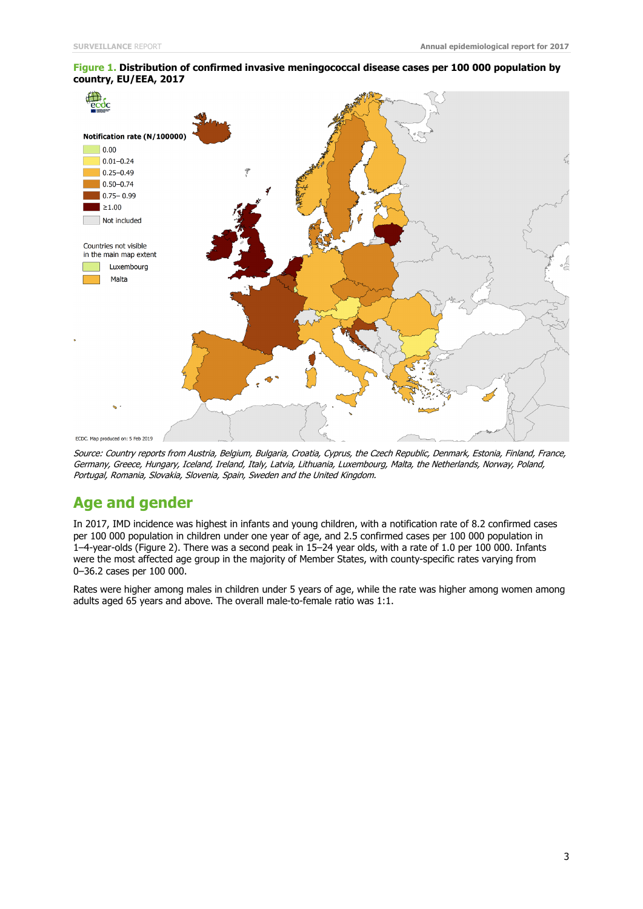

#### **Figure 1. Distribution of confirmed invasive meningococcal disease cases per 100 000 population by country, EU/EEA, 2017**

Source: Country reports from Austria, Belgium, Bulgaria, Croatia, Cyprus, the Czech Republic, Denmark, Estonia, Finland, France, Germany, Greece, Hungary, Iceland, Ireland, Italy, Latvia, Lithuania, Luxembourg, Malta, the Netherlands, Norway, Poland, Portugal, Romania, Slovakia, Slovenia, Spain, Sweden and the United Kingdom.

### **Age and gender**

In 2017, IMD incidence was highest in infants and young children, with a notification rate of 8.2 confirmed cases per 100 000 population in children under one year of age, and 2.5 confirmed cases per 100 000 population in 1–4-year-olds (Figure 2). There was a second peak in 15–24 year olds, with a rate of 1.0 per 100 000. Infants were the most affected age group in the majority of Member States, with county-specific rates varying from 0–36.2 cases per 100 000.

Rates were higher among males in children under 5 years of age, while the rate was higher among women among adults aged 65 years and above. The overall male-to-female ratio was 1:1.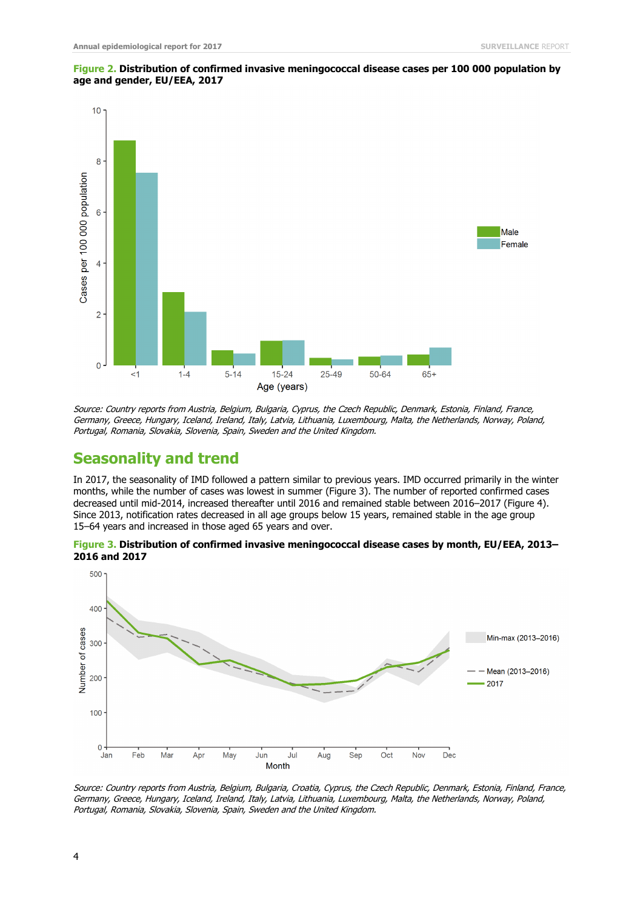

#### **Figure 2. Distribution of confirmed invasive meningococcal disease cases per 100 000 population by age and gender, EU/EEA, 2017**

Source: Country reports from Austria, Belgium, Bulgaria, Cyprus, the Czech Republic, Denmark, Estonia, Finland, France, Germany, Greece, Hungary, Iceland, Ireland, Italy, Latvia, Lithuania, Luxembourg, Malta, the Netherlands, Norway, Poland, Portugal, Romania, Slovakia, Slovenia, Spain, Sweden and the United Kingdom.

### **Seasonality and trend**

In 2017, the seasonality of IMD followed a pattern similar to previous years. IMD occurred primarily in the winter months, while the number of cases was lowest in summer (Figure 3). The number of reported confirmed cases decreased until mid-2014, increased thereafter until 2016 and remained stable between 2016–2017 (Figure 4). Since 2013, notification rates decreased in all age groups below 15 years, remained stable in the age group 15–64 years and increased in those aged 65 years and over.





Source: Country reports from Austria, Belgium, Bulgaria, Croatia, Cyprus, the Czech Republic, Denmark, Estonia, Finland, France, Germany, Greece, Hungary, Iceland, Ireland, Italy, Latvia, Lithuania, Luxembourg, Malta, the Netherlands, Norway, Poland, Portugal, Romania, Slovakia, Slovenia, Spain, Sweden and the United Kingdom.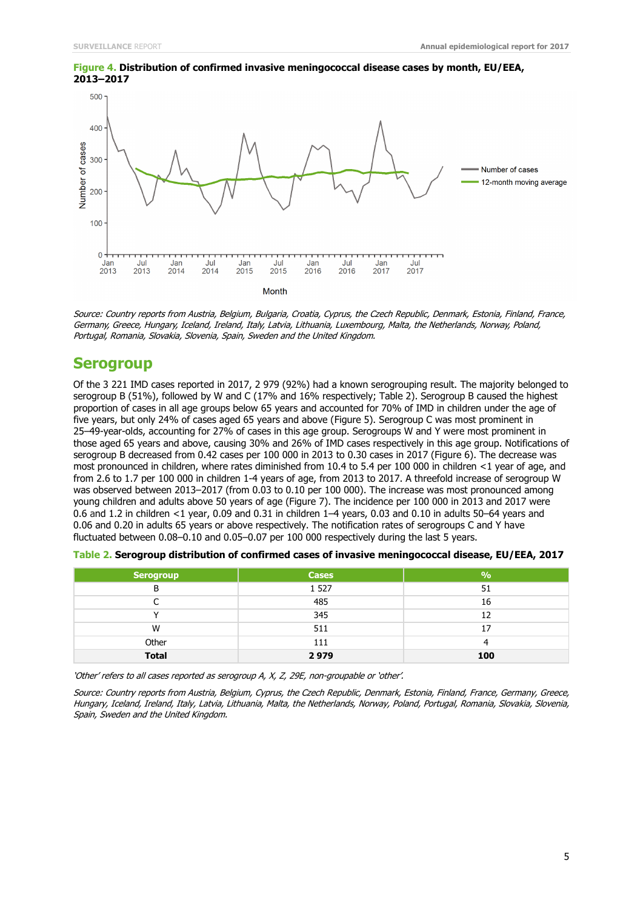

#### **Figure 4. Distribution of confirmed invasive meningococcal disease cases by month, EU/EEA, 2013–2017**

Source: Country reports from Austria, Belgium, Bulgaria, Croatia, Cyprus, the Czech Republic, Denmark, Estonia, Finland, France, Germany, Greece, Hungary, Iceland, Ireland, Italy, Latvia, Lithuania, Luxembourg, Malta, the Netherlands, Norway, Poland, Portugal, Romania, Slovakia, Slovenia, Spain, Sweden and the United Kingdom.

### **Serogroup**

Of the 3 221 IMD cases reported in 2017, 2 979 (92%) had a known serogrouping result. The majority belonged to serogroup B (51%), followed by W and C (17% and 16% respectively; Table 2). Serogroup B caused the highest proportion of cases in all age groups below 65 years and accounted for 70% of IMD in children under the age of five years, but only 24% of cases aged 65 years and above (Figure 5). Serogroup C was most prominent in 25–49-year-olds, accounting for 27% of cases in this age group. Serogroups W and Y were most prominent in those aged 65 years and above, causing 30% and 26% of IMD cases respectively in this age group. Notifications of serogroup B decreased from 0.42 cases per 100 000 in 2013 to 0.30 cases in 2017 (Figure 6). The decrease was most pronounced in children, where rates diminished from 10.4 to 5.4 per 100 000 in children <1 year of age, and from 2.6 to 1.7 per 100 000 in children 1-4 years of age, from 2013 to 2017. A threefold increase of serogroup W was observed between 2013–2017 (from 0.03 to 0.10 per 100 000). The increase was most pronounced among young children and adults above 50 years of age (Figure 7). The incidence per 100 000 in 2013 and 2017 were 0.6 and 1.2 in children <1 year, 0.09 and 0.31 in children 1–4 years, 0.03 and 0.10 in adults 50–64 years and 0.06 and 0.20 in adults 65 years or above respectively. The notification rates of serogroups C and Y have fluctuated between 0.08–0.10 and 0.05–0.07 per 100 000 respectively during the last 5 years.

| Serogroup    | <b>Cases</b> | 9/6 |
|--------------|--------------|-----|
| B            | 1 5 2 7      | 51  |
|              | 485          | 16  |
|              | 345          | 12  |
| W            | 511          | 17  |
| Other        | 111          |     |
| <b>Total</b> | 2979         | 100 |

| Table 2. Serogroup distribution of confirmed cases of invasive meningococcal disease, EU/EEA, 2017 |  |  |  |
|----------------------------------------------------------------------------------------------------|--|--|--|
|----------------------------------------------------------------------------------------------------|--|--|--|

'Other' refers to all cases reported as serogroup A, X, Z, 29E, non-groupable or 'other'.

Source: Country reports from Austria, Belgium, Cyprus, the Czech Republic, Denmark, Estonia, Finland, France, Germany, Greece, Hungary, Iceland, Ireland, Italy, Latvia, Lithuania, Malta, the Netherlands, Norway, Poland, Portugal, Romania, Slovakia, Slovenia, Spain, Sweden and the United Kingdom.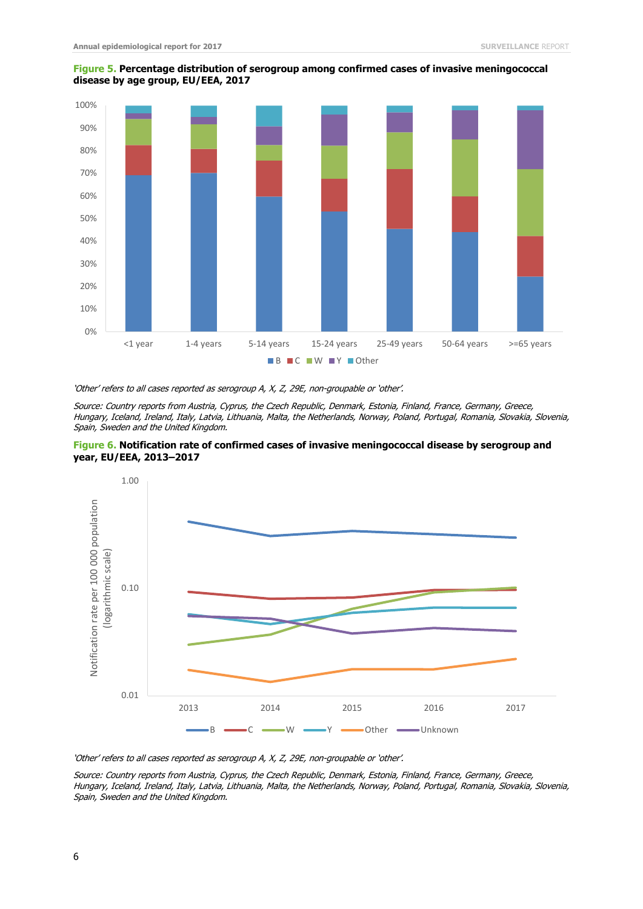

#### **Figure 5. Percentage distribution of serogroup among confirmed cases of invasive meningococcal disease by age group, EU/EEA, 2017**

'Other' refers to all cases reported as serogroup A, X, Z, 29E, non-groupable or 'other'.

Source: Country reports from Austria, Cyprus, the Czech Republic, Denmark, Estonia, Finland, France, Germany, Greece, Hungary, Iceland, Ireland, Italy, Latvia, Lithuania, Malta, the Netherlands, Norway, Poland, Portugal, Romania, Slovakia, Slovenia, Spain, Sweden and the United Kingdom.





'Other' refers to all cases reported as serogroup A, X, Z, 29E, non-groupable or 'other'.

Source: Country reports from Austria, Cyprus, the Czech Republic, Denmark, Estonia, Finland, France, Germany, Greece, Hungary, Iceland, Ireland, Italy, Latvia, Lithuania, Malta, the Netherlands, Norway, Poland, Portugal, Romania, Slovakia, Slovenia, Spain, Sweden and the United Kingdom.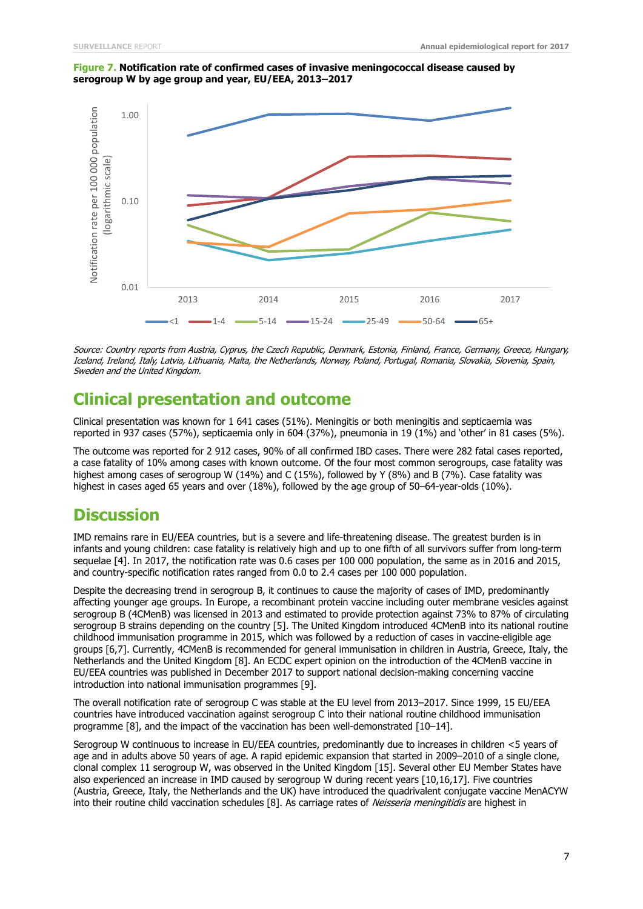#### **Figure 7. Notification rate of confirmed cases of invasive meningococcal disease caused by serogroup W by age group and year, EU/EEA, 2013–2017**



Source: Country reports from Austria, Cyprus, the Czech Republic, Denmark, Estonia, Finland, France, Germany, Greece, Hungary, Iceland, Ireland, Italy, Latvia, Lithuania, Malta, the Netherlands, Norway, Poland, Portugal, Romania, Slovakia, Slovenia, Spain, Sweden and the United Kingdom.

## **Clinical presentation and outcome**

Clinical presentation was known for 1 641 cases (51%). Meningitis or both meningitis and septicaemia was reported in 937 cases (57%), septicaemia only in 604 (37%), pneumonia in 19 (1%) and 'other' in 81 cases (5%).

The outcome was reported for 2 912 cases, 90% of all confirmed IBD cases. There were 282 fatal cases reported, a case fatality of 10% among cases with known outcome. Of the four most common serogroups, case fatality was highest among cases of serogroup W (14%) and C (15%), followed by Y (8%) and B (7%). Case fatality was highest in cases aged 65 years and over (18%), followed by the age group of 50–64-year-olds (10%).

### **Discussion**

IMD remains rare in EU/EEA countries, but is a severe and life-threatening disease. The greatest burden is in infants and young children: case fatality is relatively high and up to one fifth of all survivors suffer from long-term sequelae [4]. In 2017, the notification rate was 0.6 cases per 100 000 population, the same as in 2016 and 2015, and country-specific notification rates ranged from 0.0 to 2.4 cases per 100 000 population.

Despite the decreasing trend in serogroup B, it continues to cause the majority of cases of IMD, predominantly affecting younger age groups. In Europe, a recombinant protein vaccine including outer membrane vesicles against serogroup B (4CMenB) was licensed in 2013 and estimated to provide protection against 73% to 87% of circulating serogroup B strains depending on the country [5]. The United Kingdom introduced 4CMenB into its national routine childhood immunisation programme in 2015, which was followed by a reduction of cases in vaccine-eligible age groups [6,7]. Currently, 4CMenB is recommended for general immunisation in children in Austria, Greece, Italy, the Netherlands and the United Kingdom [8]. An ECDC expert opinion on the introduction of the 4CMenB vaccine in EU/EEA countries was published in December 2017 to support national decision-making concerning vaccine introduction into national immunisation programmes [9].

The overall notification rate of serogroup C was stable at the EU level from 2013–2017. Since 1999, 15 EU/EEA countries have introduced vaccination against serogroup C into their national routine childhood immunisation programme [8], and the impact of the vaccination has been well-demonstrated [10–14].

Serogroup W continuous to increase in EU/EEA countries, predominantly due to increases in children <5 years of age and in adults above 50 years of age. A rapid epidemic expansion that started in 2009–2010 of a single clone, clonal complex 11 serogroup W, was observed in the United Kingdom [15]. Several other EU Member States have also experienced an increase in IMD caused by serogroup W during recent years [10,16,17]. Five countries (Austria, Greece, Italy, the Netherlands and the UK) have introduced the quadrivalent conjugate vaccine MenACYW into their routine child vaccination schedules [8]. As carriage rates of Neisseria meningitidis are highest in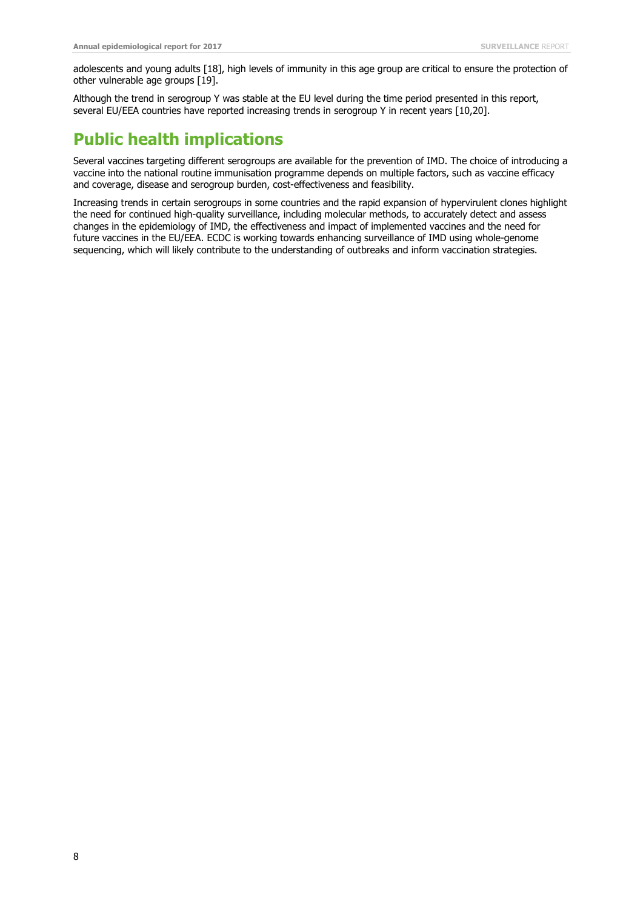adolescents and young adults [18], high levels of immunity in this age group are critical to ensure the protection of other vulnerable age groups [19].

Although the trend in serogroup Y was stable at the EU level during the time period presented in this report, several EU/EEA countries have reported increasing trends in serogroup Y in recent years [10,20].

# **Public health implications**

Several vaccines targeting different serogroups are available for the prevention of IMD. The choice of introducing a vaccine into the national routine immunisation programme depends on multiple factors, such as vaccine efficacy and coverage, disease and serogroup burden, cost-effectiveness and feasibility.

Increasing trends in certain serogroups in some countries and the rapid expansion of hypervirulent clones highlight the need for continued high-quality surveillance, including molecular methods, to accurately detect and assess changes in the epidemiology of IMD, the effectiveness and impact of implemented vaccines and the need for future vaccines in the EU/EEA. ECDC is working towards enhancing surveillance of IMD using whole-genome sequencing, which will likely contribute to the understanding of outbreaks and inform vaccination strategies.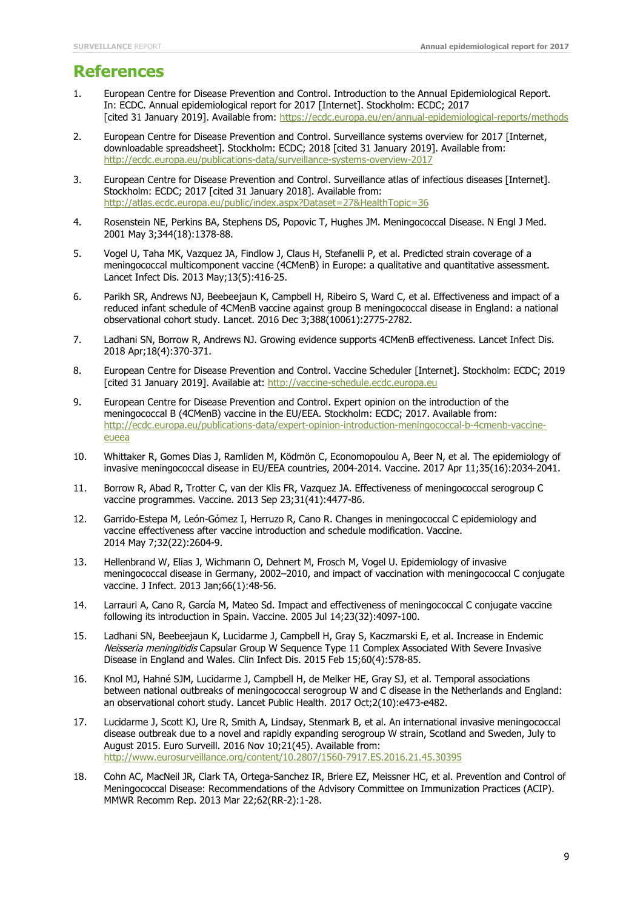### **References**

- 1. European Centre for Disease Prevention and Control. Introduction to the Annual Epidemiological Report. In: ECDC. Annual epidemiological report for 2017 [Internet]. Stockholm: ECDC; 2017 [cited 31 January 2019]. Available from: https://ecdc.europa.eu/en/annual-epidemiological-reports/methods
- 2. European Centre for Disease Prevention and Control. Surveillance systems overview for 2017 [Internet, downloadable spreadsheet]. Stockholm: ECDC; 2018 [cited 31 January 2019]. Available from: http://ecdc.europa.eu/publications-data/surveillance-systems-overview-2017
- 3. European Centre for Disease Prevention and Control. Surveillance atlas of infectious diseases [Internet]. Stockholm: ECDC; 2017 [cited 31 January 2018]. Available from: <http://atlas.ecdc.europa.eu/public/index.aspx?Dataset=27&HealthTopic=36>
- 4. Rosenstein NE, Perkins BA, Stephens DS, Popovic T, Hughes JM. Meningococcal Disease. N Engl J Med. 2001 May 3;344(18):1378-88.
- 5. Vogel U, Taha MK, Vazquez JA, Findlow J, Claus H, Stefanelli P, et al. Predicted strain coverage of a meningococcal multicomponent vaccine (4CMenB) in Europe: a qualitative and quantitative assessment. Lancet Infect Dis. 2013 May;13(5):416-25.
- 6. Parikh SR, Andrews NJ, Beebeejaun K, Campbell H, Ribeiro S, Ward C, et al. Effectiveness and impact of a reduced infant schedule of 4CMenB vaccine against group B meningococcal disease in England: a national observational cohort study. Lancet. 2016 Dec 3;388(10061):2775-2782.
- 7. [Ladhani SN,](https://www-ncbi-nlm-nih-gov.proxy.kib.ki.se/pubmed/?term=Ladhani%20SN%5BAuthor%5D&cauthor=true&cauthor_uid=29371069) [Borrow R,](https://www-ncbi-nlm-nih-gov.proxy.kib.ki.se/pubmed/?term=Borrow%20R%5BAuthor%5D&cauthor=true&cauthor_uid=29371069) [Andrews NJ.](https://www-ncbi-nlm-nih-gov.proxy.kib.ki.se/pubmed/?term=Andrews%20NJ%5BAuthor%5D&cauthor=true&cauthor_uid=29371069) Growing evidence supports 4CMenB effectiveness. [Lancet Infect Dis.](https://www-ncbi-nlm-nih-gov.proxy.kib.ki.se/pubmed/29371069) 2018 Apr;18(4):370-371.
- 8. European Centre for Disease Prevention and Control. Vaccine Scheduler [Internet]. Stockholm: ECDC; 2019 [cited 31 January 2019]. Available at: [http://vaccine-schedule.ecdc.europa.eu](http://vaccine-schedule.ecdc.europa.eu/Pages/Scheduler.aspx)
- 9. European Centre for Disease Prevention and Control. Expert opinion on the introduction of the meningococcal B (4CMenB) vaccine in the EU/EEA. Stockholm: ECDC; 2017. Available from: [http://ecdc.europa.eu/publications-data/expert-opinion-introduction-meningococcal-b-4cmenb-vaccine](http://ecdc.europa.eu/publications-data/expert-opinion-introduction-meningococcal-b-4cmenb-vaccine-eueea)[eueea](http://ecdc.europa.eu/publications-data/expert-opinion-introduction-meningococcal-b-4cmenb-vaccine-eueea)
- 10. Whittaker R, Gomes Dias J, Ramliden M, Ködmön C, Economopoulou A, Beer N, et al. The epidemiology of invasive meningococcal disease in EU/EEA countries, 2004-2014. Vaccine. 2017 Apr 11;35(16):2034-2041.
- 11. Borrow R, Abad R, Trotter C, van der Klis FR, Vazquez JA. Effectiveness of meningococcal serogroup C vaccine programmes. Vaccine. 2013 Sep 23;31(41):4477-86.
- 12. Garrido-Estepa M, León-Gómez I, Herruzo R, Cano R. Changes in meningococcal C epidemiology and vaccine effectiveness after vaccine introduction and schedule modification. Vaccine. 2014 May 7;32(22):2604-9.
- 13. Hellenbrand W, Elias J, Wichmann O, Dehnert M, Frosch M, Vogel U. Epidemiology of invasive meningococcal disease in Germany, 2002–2010, and impact of vaccination with meningococcal C conjugate vaccine. J Infect. 2013 Jan;66(1):48-56.
- 14. Larrauri A, Cano R, García M, Mateo Sd. Impact and effectiveness of meningococcal C conjugate vaccine following its introduction in Spain. Vaccine. 2005 Jul 14;23(32):4097-100.
- 15. Ladhani SN, Beebeejaun K, Lucidarme J, Campbell H, Gray S, Kaczmarski E, et al. Increase in Endemic Neisseria meningitidis Capsular Group W Sequence Type 11 Complex Associated With Severe Invasive Disease in England and Wales. Clin Infect Dis. 2015 Feb 15;60(4):578-85.
- 16. [Knol MJ,](https://www-ncbi-nlm-nih-gov.proxy.kib.ki.se/pubmed/?term=Knol%20MJ%5BAuthor%5D&cauthor=true&cauthor_uid=29253430) [Hahné SJM,](https://www-ncbi-nlm-nih-gov.proxy.kib.ki.se/pubmed/?term=Hahn%C3%A9%20SJM%5BAuthor%5D&cauthor=true&cauthor_uid=29253430) [Lucidarme J,](https://www-ncbi-nlm-nih-gov.proxy.kib.ki.se/pubmed/?term=Lucidarme%20J%5BAuthor%5D&cauthor=true&cauthor_uid=29253430) [Campbell H,](https://www-ncbi-nlm-nih-gov.proxy.kib.ki.se/pubmed/?term=Campbell%20H%5BAuthor%5D&cauthor=true&cauthor_uid=29253430) [de Melker HE,](https://www-ncbi-nlm-nih-gov.proxy.kib.ki.se/pubmed/?term=de%20Melker%20HE%5BAuthor%5D&cauthor=true&cauthor_uid=29253430) [Gray SJ,](https://www-ncbi-nlm-nih-gov.proxy.kib.ki.se/pubmed/?term=Gray%20SJ%5BAuthor%5D&cauthor=true&cauthor_uid=29253430) et al. Temporal associations between national outbreaks of meningococcal serogroup W and C disease in the Netherlands and England: an observational cohort study. Lancet Public Health. 2017 Oct;2(10):e473-e482.
- 17. Lucidarme J, Scott KJ, Ure R, Smith A, Lindsay, Stenmark B, et al. An international invasive meningococcal disease outbreak due to a novel and rapidly expanding serogroup W strain, Scotland and Sweden, July to August 2015. Euro Surveill. 2016 Nov 10;21(45). Available from: http://www.eurosurveillance.org/content/10.2807/1560-7917.ES.2016.21.45.30395
- 18. Cohn AC, MacNeil JR, Clark TA, Ortega-Sanchez IR, Briere EZ, Meissner HC, et al. Prevention and Control of Meningococcal Disease: Recommendations of the Advisory Committee on Immunization Practices (ACIP). MMWR Recomm Rep. 2013 Mar 22;62(RR-2):1-28.